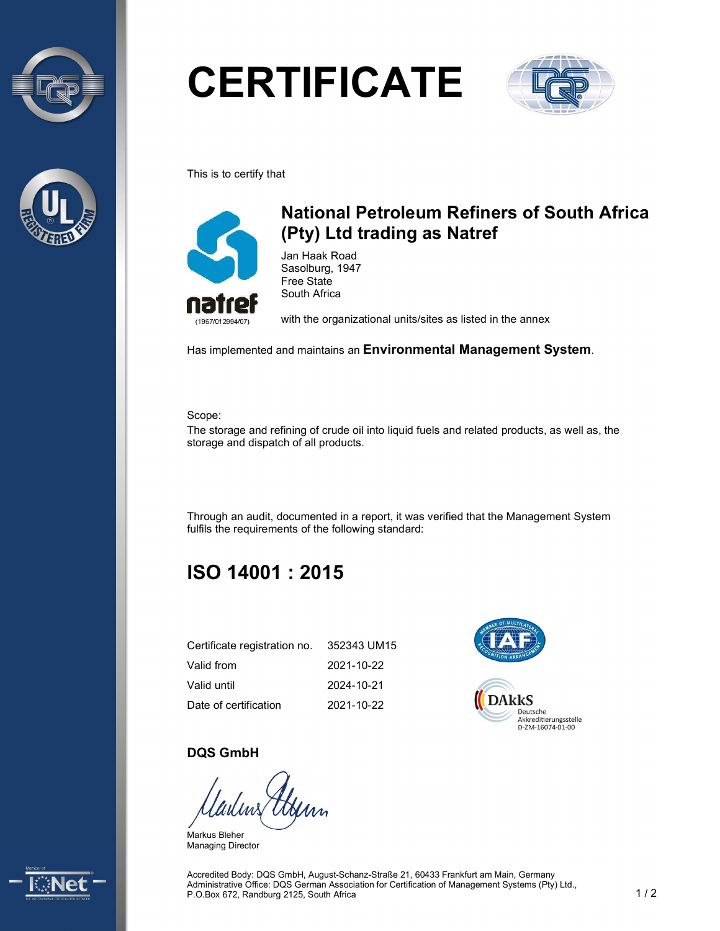



# **CERTIFICATE**



This is to certify that



## National Petroleum Refiners of South Africa (Pty) Ltd trading as Natref

Jan Haak Road Sasolburg, 1947 Free State South Africa

with the organizational units/sites as listed in the annex

Has implemented and maintains an Environmental Management System.

Scope:

The storage and refining of crude oil into liquid fuels and related products, as well as, the storage and dispatch of all products.

Through an audit, documented in a report, it was verified that the Management System fulfils the requirements of the following standard:

# ISO 14001 : 2015

| Certificate registration no. | 352343 UM15 |
|------------------------------|-------------|
| Valid from                   | 2021-10-22  |
| Valid until                  | 2024-10-21  |
| Date of certification        | 2021-10-22  |



#### DQS GmbH

Markus Bleher Managing Director



Accredited Body: DQS GmbH, August-Schanz-Straße 21, 60433 Frankfurt am Main, Germany Administrative Office: DQS German Association for Certification of Management Systems (Pty) Ltd., P.O.Box 672, Randburg 2125, South Africa 1 / 2